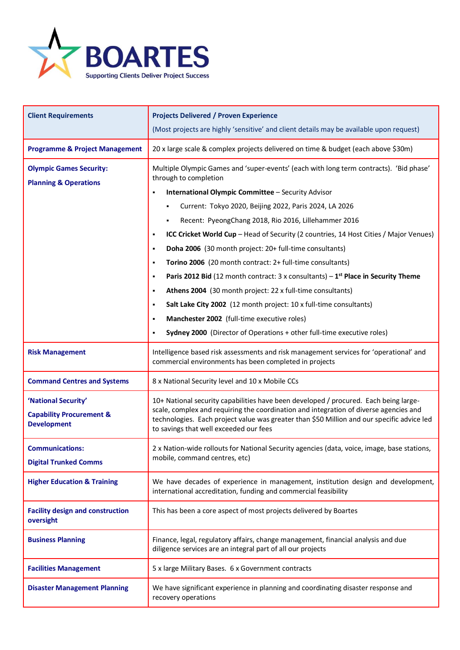

| <b>Client Requirements</b>                                                       | <b>Projects Delivered / Proven Experience</b><br>(Most projects are highly 'sensitive' and client details may be available upon request)                                                                                                                                                                                                                                                                                                                                                                                                                                                                                                                                                                                                                                                                                                               |
|----------------------------------------------------------------------------------|--------------------------------------------------------------------------------------------------------------------------------------------------------------------------------------------------------------------------------------------------------------------------------------------------------------------------------------------------------------------------------------------------------------------------------------------------------------------------------------------------------------------------------------------------------------------------------------------------------------------------------------------------------------------------------------------------------------------------------------------------------------------------------------------------------------------------------------------------------|
| <b>Programme &amp; Project Management</b>                                        | 20 x large scale & complex projects delivered on time & budget (each above \$30m)                                                                                                                                                                                                                                                                                                                                                                                                                                                                                                                                                                                                                                                                                                                                                                      |
| <b>Olympic Games Security:</b><br><b>Planning &amp; Operations</b>               | Multiple Olympic Games and 'super-events' (each with long term contracts). 'Bid phase'<br>through to completion<br>International Olympic Committee - Security Advisor<br>$\blacksquare$<br>Current: Tokyo 2020, Beijing 2022, Paris 2024, LA 2026<br>Recent: PyeongChang 2018, Rio 2016, Lillehammer 2016<br>ICC Cricket World Cup - Head of Security (2 countries, 14 Host Cities / Major Venues)<br>٠<br>Doha 2006 (30 month project: 20+ full-time consultants)<br>٠<br>Torino 2006 (20 month contract: 2+ full-time consultants)<br>٠<br>Paris 2012 Bid (12 month contract: 3 x consultants) $-1^{st}$ Place in Security Theme<br>٠<br>Athens 2004 (30 month project: 22 x full-time consultants)<br>٠<br>Salt Lake City 2002 (12 month project: 10 x full-time consultants)<br>٠<br>Manchester 2002 (full-time executive roles)<br>$\blacksquare$ |
|                                                                                  | Sydney 2000 (Director of Operations + other full-time executive roles)<br>$\blacksquare$                                                                                                                                                                                                                                                                                                                                                                                                                                                                                                                                                                                                                                                                                                                                                               |
| <b>Risk Management</b>                                                           | Intelligence based risk assessments and risk management services for 'operational' and<br>commercial environments has been completed in projects                                                                                                                                                                                                                                                                                                                                                                                                                                                                                                                                                                                                                                                                                                       |
| <b>Command Centres and Systems</b>                                               | 8 x National Security level and 10 x Mobile CCs                                                                                                                                                                                                                                                                                                                                                                                                                                                                                                                                                                                                                                                                                                                                                                                                        |
| 'National Security'<br><b>Capability Procurement &amp;</b><br><b>Development</b> | 10+ National security capabilities have been developed / procured. Each being large-<br>scale, complex and requiring the coordination and integration of diverse agencies and<br>technologies. Each project value was greater than \$50 Million and our specific advice led<br>to savings that well exceeded our fees                                                                                                                                                                                                                                                                                                                                                                                                                                                                                                                                  |
| <b>Communications:</b><br><b>Digital Trunked Comms</b>                           | 2 x Nation-wide rollouts for National Security agencies (data, voice, image, base stations,<br>mobile, command centres, etc)                                                                                                                                                                                                                                                                                                                                                                                                                                                                                                                                                                                                                                                                                                                           |
| <b>Higher Education &amp; Training</b>                                           | We have decades of experience in management, institution design and development,<br>international accreditation, funding and commercial feasibility                                                                                                                                                                                                                                                                                                                                                                                                                                                                                                                                                                                                                                                                                                    |
| <b>Facility design and construction</b><br>oversight                             | This has been a core aspect of most projects delivered by Boartes                                                                                                                                                                                                                                                                                                                                                                                                                                                                                                                                                                                                                                                                                                                                                                                      |
| <b>Business Planning</b>                                                         | Finance, legal, regulatory affairs, change management, financial analysis and due<br>diligence services are an integral part of all our projects                                                                                                                                                                                                                                                                                                                                                                                                                                                                                                                                                                                                                                                                                                       |
| <b>Facilities Management</b>                                                     | 5 x large Military Bases. 6 x Government contracts                                                                                                                                                                                                                                                                                                                                                                                                                                                                                                                                                                                                                                                                                                                                                                                                     |
| <b>Disaster Management Planning</b>                                              | We have significant experience in planning and coordinating disaster response and<br>recovery operations                                                                                                                                                                                                                                                                                                                                                                                                                                                                                                                                                                                                                                                                                                                                               |